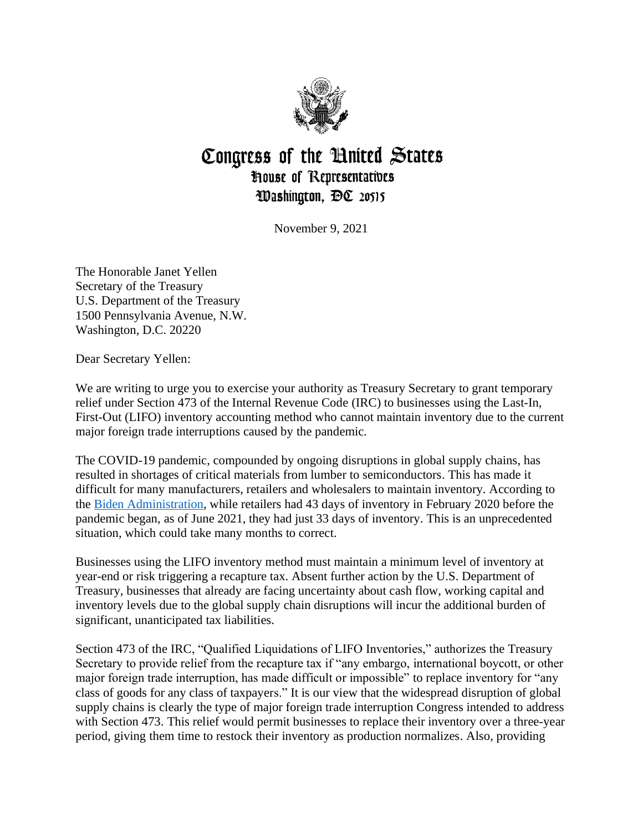

## Congress of the United States **House of Representatives** Washington, DC 20515

November 9, 2021

The Honorable Janet Yellen Secretary of the Treasury U.S. Department of the Treasury 1500 Pennsylvania Avenue, N.W. Washington, D.C. 20220

Dear Secretary Yellen:

We are writing to urge you to exercise your authority as Treasury Secretary to grant temporary relief under Section 473 of the Internal Revenue Code (IRC) to businesses using the Last-In, First-Out (LIFO) inventory accounting method who cannot maintain inventory due to the current major foreign trade interruptions caused by the pandemic.

The COVID-19 pandemic, compounded by ongoing disruptions in global supply chains, has resulted in shortages of critical materials from lumber to semiconductors. This has made it difficult for many manufacturers, retailers and wholesalers to maintain inventory. According to the [Biden Administration,](https://www.whitehouse.gov/cea/blog/2021/06/17/why-the-pandemic-has-disrupted-supply-chains/) while retailers had 43 days of inventory in February 2020 before the pandemic began, as of June 2021, they had just 33 days of inventory. This is an unprecedented situation, which could take many months to correct.

Businesses using the LIFO inventory method must maintain a minimum level of inventory at year-end or risk triggering a recapture tax. Absent further action by the U.S. Department of Treasury, businesses that already are facing uncertainty about cash flow, working capital and inventory levels due to the global supply chain disruptions will incur the additional burden of significant, unanticipated tax liabilities.

Section 473 of the IRC, "Qualified Liquidations of LIFO Inventories," authorizes the Treasury Secretary to provide relief from the recapture tax if "any embargo, international boycott, or other major foreign trade interruption, has made difficult or impossible" to replace inventory for "any class of goods for any class of taxpayers." It is our view that the widespread disruption of global supply chains is clearly the type of major foreign trade interruption Congress intended to address with Section 473. This relief would permit businesses to replace their inventory over a three-year period, giving them time to restock their inventory as production normalizes. Also, providing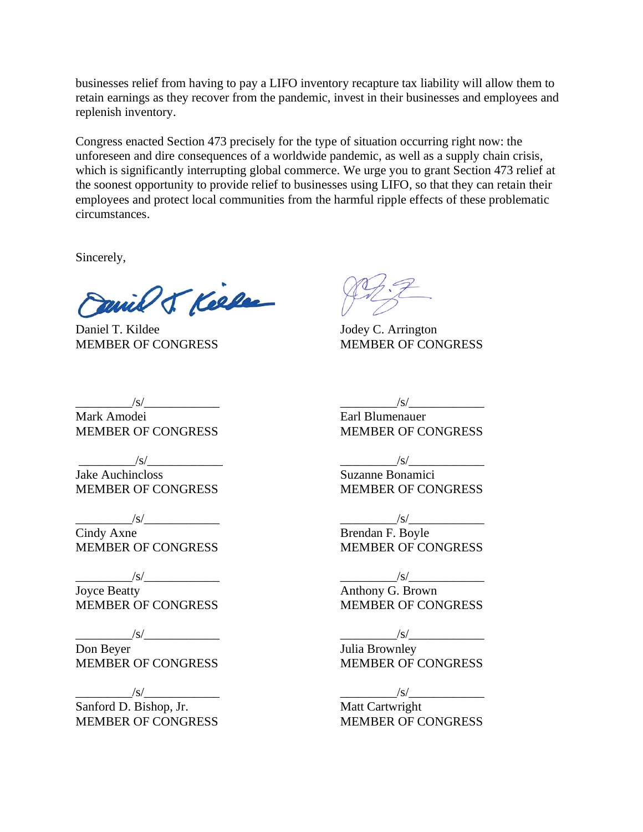businesses relief from having to pay a LIFO inventory recapture tax liability will allow them to retain earnings as they recover from the pandemic, invest in their businesses and employees and replenish inventory.

Congress enacted Section 473 precisely for the type of situation occurring right now: the unforeseen and dire consequences of a worldwide pandemic, as well as a supply chain crisis, which is significantly interrupting global commerce. We urge you to grant Section 473 relief at the soonest opportunity to provide relief to businesses using LIFO, so that they can retain their employees and protect local communities from the harmful ripple effects of these problematic circumstances.

Sincerely,

Panil J Kelle

Daniel T. Kildee Jodey C. Arrington MEMBER OF CONGRESS MEMBER OF CONGRESS

Earl Blumenauer MEMBER OF CONGRESS

 $\frac{1}{s}$ 

 $\frac{1}{s}$ 

Suzanne Bonamici MEMBER OF CONGRESS

 $\frac{1}{s}$ 

Brendan F. Boyle MEMBER OF CONGRESS

 $\frac{1}{s}$ 

Anthony G. Brown MEMBER OF CONGRESS

 $\sqrt{s/}$ 

Julia Brownley MEMBER OF CONGRESS

 $\frac{|S|}{|S|}$ 

Matt Cartwright MEMBER OF CONGRESS

 $\frac{1}{s}$ Mark Amodei MEMBER OF CONGRESS

 $\frac{1}{s}$  /s/ $\frac{1}{s}$ 

Jake Auchincloss MEMBER OF CONGRESS

 $\frac{1}{s}$ 

Cindy Axne MEMBER OF CONGRESS

 $\frac{1}{s}$ 

Joyce Beatty MEMBER OF CONGRESS

 $\frac{1}{s}$ 

Don Beyer MEMBER OF CONGRESS

 $\frac{1}{s}$ 

Sanford D. Bishop, Jr. MEMBER OF CONGRESS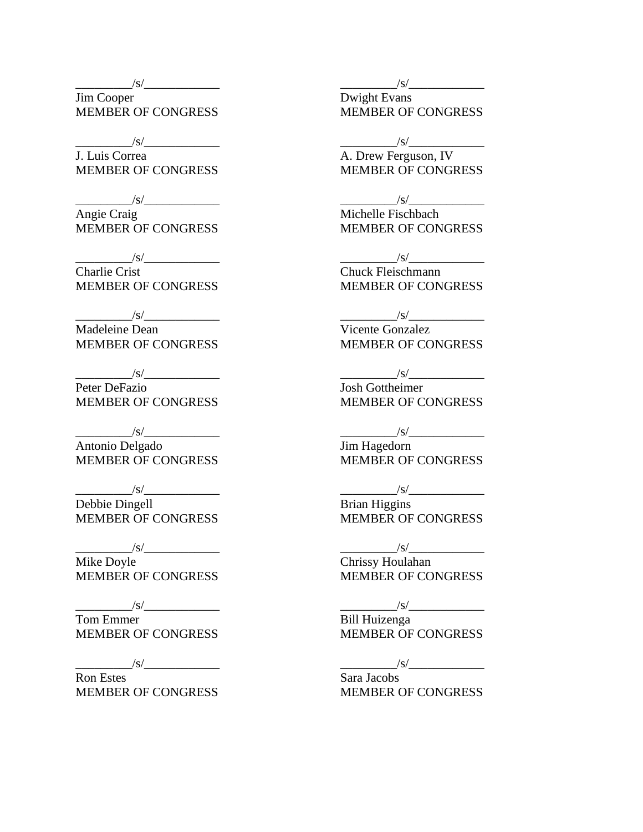$\sqrt{s/2}$ 

Jim Cooper MEMBER OF CONGRESS

 $\frac{1}{s}$ 

J. Luis Correa MEMBER OF CONGRESS

 $\sqrt{s/2}$ Angie Craig MEMBER OF CONGRESS

 $\frac{1}{s}$ Charlie Crist MEMBER OF CONGRESS

 $\frac{1}{\sqrt{S}}$ Madeleine Dean MEMBER OF CONGRESS

 $/\mathrm{s}/$ Peter DeFazio MEMBER OF CONGRESS

 $\frac{1}{s}$ Antonio Delgado MEMBER OF CONGRESS

 $/\mathrm{s}/$ Debbie Dingell MEMBER OF CONGRESS

 $\sqrt{s/2}$ Mike Doyle MEMBER OF CONGRESS

 $\frac{1}{s}$ Tom Emmer MEMBER OF CONGRESS

 $\frac{1}{s}$ 

Ron Estes MEMBER OF CONGRESS  $\frac{1}{s}$ 

Dwight Evans MEMBER OF CONGRESS

 $\frac{1}{s}$ 

A. Drew Ferguson, IV MEMBER OF CONGRESS

 $\sqrt{s/}$ 

Michelle Fischbach MEMBER OF CONGRESS

 $\frac{1}{s}$ 

Chuck Fleischmann MEMBER OF CONGRESS

 $/\mathrm{s}/\mathrm{s}$ 

Vicente Gonzalez MEMBER OF CONGRESS

 $/s/$ 

Josh Gottheimer MEMBER OF CONGRESS

 $\frac{1}{s}$ 

Jim Hagedorn MEMBER OF CONGRESS

 $\sqrt{s}/$ 

Brian Higgins MEMBER OF CONGRESS

 $\frac{1}{s}$ Chrissy Houlahan MEMBER OF CONGRESS

 $\frac{1}{s}$ 

Bill Huizenga MEMBER OF CONGRESS

 $/\mathrm{s}/$ 

Sara Jacobs MEMBER OF CONGRESS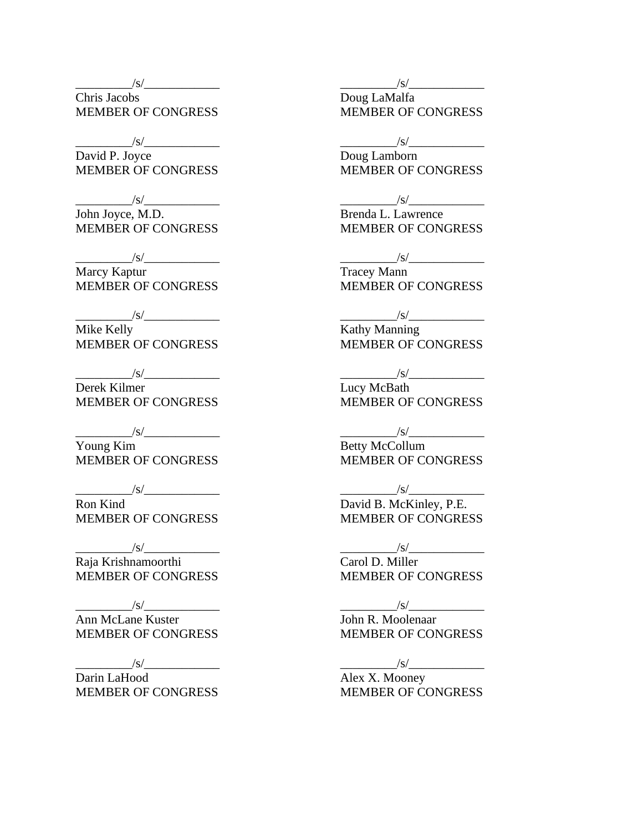$\sqrt{s/2}$ 

Chris Jacobs MEMBER OF CONGRESS

 $\frac{1}{s}$ /s/ $\frac{1}{s}$ 

David P. Joyce MEMBER OF CONGRESS

 $\frac{1}{s}$ John Joyce, M.D. MEMBER OF CONGRESS

 $\frac{1}{s}$ Marcy Kaptur MEMBER OF CONGRESS

 $\sqrt{s/}$ 

Mike Kelly MEMBER OF CONGRESS

 $/\mathrm{s}/$ Derek Kilmer MEMBER OF CONGRESS

 $\sqrt{s/$ 

Young Kim MEMBER OF CONGRESS

 $\frac{1}{s}$ 

Ron Kind MEMBER OF CONGRESS

 $\sqrt{s}/\sqrt{s}$ 

Raja Krishnamoorthi MEMBER OF CONGRESS

 $\frac{1}{s}$ 

Ann McLane Kuster MEMBER OF CONGRESS

 $/\mathrm{s}/\mathrm{s}$ 

Darin LaHood MEMBER OF CONGRESS  $\frac{1}{s}$ 

Doug LaMalfa MEMBER OF CONGRESS

 $\frac{1}{s}$ 

Doug Lamborn MEMBER OF CONGRESS

 $\frac{|s|}{s}$ 

Brenda L. Lawrence MEMBER OF CONGRESS

 $\frac{1}{s}$ 

Tracey Mann MEMBER OF CONGRESS

 $\frac{1}{s}$ 

Kathy Manning MEMBER OF CONGRESS

 $\sqrt{s/}$ 

Lucy McBath MEMBER OF CONGRESS

 $\frac{1}{\sqrt{S}}$ 

Betty McCollum MEMBER OF CONGRESS

 $\frac{|s|}{s}$ 

David B. McKinley, P.E. MEMBER OF CONGRESS

 $\frac{1}{s}$  /s/ $\frac{1}{s}$ Carol D. Miller

MEMBER OF CONGRESS

 $\frac{|s|}{\sqrt{2\pi}}$ 

John R. Moolenaar MEMBER OF CONGRESS

 $\frac{1}{s}$ 

Alex X. Mooney MEMBER OF CONGRESS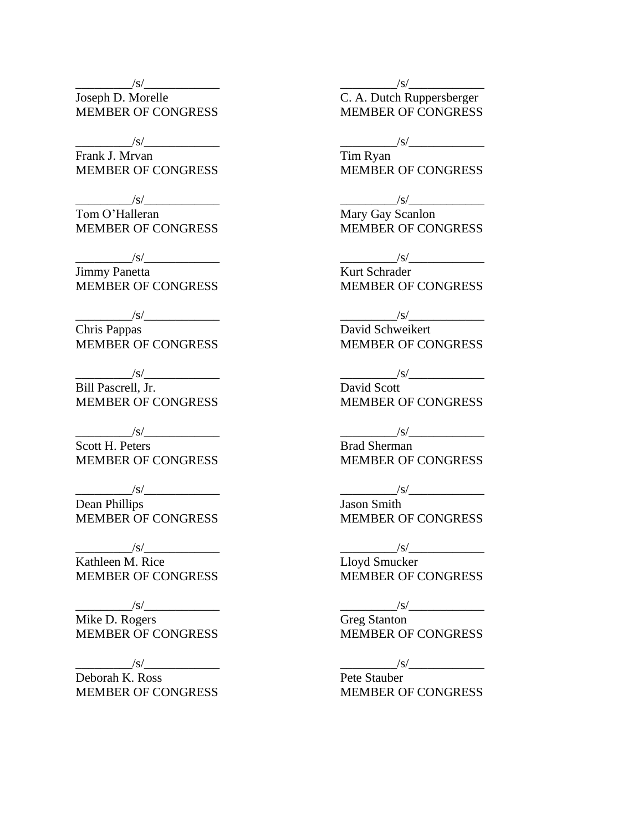$\sqrt{s/2}$ 

Joseph D. Morelle MEMBER OF CONGRESS

 $\frac{1}{s}$ 

Frank J. Mrvan MEMBER OF CONGRESS

 $\sqrt{s/}$ Tom O'Halleran MEMBER OF CONGRESS

 $\sqrt{s/$ Jimmy Panetta MEMBER OF CONGRESS

 $\sqrt{s/2}$ 

Chris Pappas MEMBER OF CONGRESS

 $\sqrt{s}/$ Bill Pascrell, Jr. MEMBER OF CONGRESS

 $\sqrt{s}/$ Scott H. Peters MEMBER OF CONGRESS

 $/\mathrm{s}/$ Dean Phillips MEMBER OF CONGRESS

 $\frac{1}{s}$ /s/ $\frac{1}{s}$ Kathleen M. Rice MEMBER OF CONGRESS

 $\sqrt{s/2}$ Mike D. Rogers MEMBER OF CONGRESS

 $\sqrt{s/2}$ 

Deborah K. Ross MEMBER OF CONGRESS  $\frac{|s|}{\sqrt{2\pi}}$ 

C. A. Dutch Ruppersberger MEMBER OF CONGRESS

 $\frac{1}{s}$ 

Tim Ryan MEMBER OF CONGRESS

 $\frac{1}{s}$ 

Mary Gay Scanlon MEMBER OF CONGRESS

 $\frac{1}{s}$  /s/ $\frac{1}{s}$ 

Kurt Schrader MEMBER OF CONGRESS

 $\frac{|s|}{|s|}$ 

David Schweikert MEMBER OF CONGRESS

 $/\text{S}/\text{I}$ 

David Scott MEMBER OF CONGRESS

 $\frac{1}{\sqrt{S}}$ 

Brad Sherman MEMBER OF CONGRESS

 $/\mathrm{s}/$ 

Jason Smith MEMBER OF CONGRESS

 $\frac{1}{\sqrt{S}}$ Lloyd Smucker MEMBER OF CONGRESS

 $\frac{1}{s}$ 

Greg Stanton MEMBER OF CONGRESS

 $\frac{1}{s}$ 

Pete Stauber MEMBER OF CONGRESS